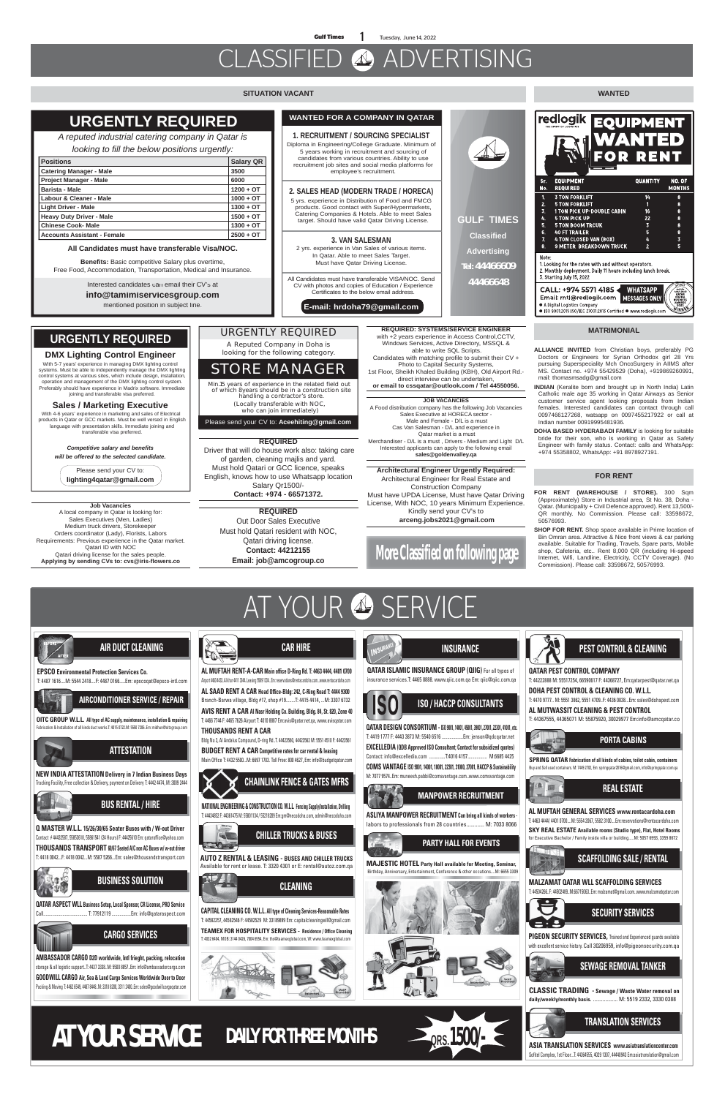# CLASSIFIED ADVERTISING

**More Classified on following page**



## **SITUATION VACANT WANTED**

**GULF TIMES**

**Classified**

**Advertising**

**Tel: 44466609**

**44466648**

### **MATRIMONIAL**

### **FOR RENT**

**FOR RENT (WAREHOUSE / STORE).** 300 Sqm (Approximately) Store in Industrial area, St No. 38, Doha - Qatar. (Municipality + Civil Defence approved). Rent 13,500/- QR monthly. No Commission. Please call: 33598672, 50576993.

**SHOP FOR RENT.** Shop space available in Prime location of Bin Omran area. Attractive & Nice front views & car parking available. Suitable for Trading, Travels, Spare parts, Mobile shop, Cafeteria, etc.. Rent 8,000 QR (including Hi-speed Internet, Wifi, Landline, Electricity, CCTV Coverage). (No Commission). Please call: 33598672, 50576993.

### **DMX Lighting Control Engineer**

With 5-7 years' experience in managing DMX lighting control systems. Must be able to independently manage the DMX lighting control systems at various sites, which include design, installation, operation and management of the DMX lighting control system. Preferably should have experience in Madrix software. Immediate joining and transferable visa preferred.

## **Sales / Marketing Executive**

 With 4-6 years' experience in marketing and sales of Electrical products in Qatar or GCC markets. Must be well versed in English language with presentation skills. Immediate joining and transferable visa preferred.

> *Competitive salary and benefits will be offered to the selected candidate.*

Please send your CV to: **lighting4qatar@gmail.com**

## **URGENTLY REQUIRED**





**CAR HIRE**



# **ISO / HACCP CONSULTANTS**



**QATAR DESIGN CONSORTIUM -ISO 9001, 14001, 45001, 39001, 27001, 22301, 41001, etc.** T: 4419 1777 F: 4443 3873 M: 5540 6516 ...................Em: jenson@qdcqatar.net **EXCELLEDIA (QDB Approved ISO Consultant; Contact for subsidized quotes)** Contact: info@excelledia.com ..............T:4016 4157................. M:6685 4425 **COMS VANTAGE ISO 9001, 14001, 18001, 22301, 31000, 27001, HACCP & Sustainability** M: 7077 9574..Em: muneesh.pabbi@comsvantage.com..www.comsvantage.com

**INSURANCE**

**QATAR ISLAMIC INSURANCE GROUP (QIIG)** For all types of insurance services.T: 4465 8888. www.qiic.com.qa Em: qiic@qiic.com.qa

## **PARTY HALL FOR EVENTS**

**MAJESTIC HOTEL Party Hall available for Meeting, Seminar,** Birthday, Anniversary, Entertainment, Conference & other occations....M: 6655 3309







T: 44222888 M: 55517254, 66590617 F: 44368727, Em:qatarpest@qatar.net.qa

**DOHA PEST CONTROL & CLEANING CO. W.L.L.**  T: 4470 9777.. M: 5551 3862, 5551 4709..F: 4436 0838...Em: sales@dohapest.com

**AL MUTWASSIT CLEANING & PEST CONTROL** T: 44367555, 44365071 M: 55875920, 30029977 Em:info@amcqatar.co



間

## **MANPOWER RECRUITMENT**

**ASLIYA MANPOWER RECRUITMENT Can bring all kinds of workers**  labors to professionals from 28 countries............. M: 7033 8066 **SPRING QATAR Fabrication of all kinds of cabins, toilet cabin, containers**  Buy and Sell used containers. M: 7449 2702, Em: springqatar2016@gmail.com, info@springqatar.com.qa

**PORTA CABINS**



**MALZAMAT QATAR WLL SCAFFOLDING SERVICES** T: 44504266..F: 44502489..M:66715063..Em: malzamat@gmail.com..www.malzamatqatar.com



**ASIA TRANSLATION SERVICES www.asiatranslationcenter.com** Sofitel Complex, 1st Floor...T: 44364555, 4029 1307, 44440943 Em:asiatranslation@gmail.com





**CLASSIC TRADING - Sewage / Waste Water removal on daily/weekly/monthly basis.** .................. M: 5519 2332, 3330 0388



**PIGEON SECURITY SERVICES,** Trained and Experienced guards available with excellent service history. Call 30206959, info@pigeonsecurity.com.qa

**AL MUFTAH GENERAL SERVICES www.rentacardoha.com**

T: 4463 4444/ 4401 0700....M: 5554 2067, 5582 3100....Em:reservations@rentacardoha.com

## **REAL ESTATE**

**SKY REAL ESTATE Available rooms (Studio type), Flat, Hotel Rooms** for Executive Bachelor / Family inside villa or building.....M: 5057 6993, 3359 8672

## **URGENTLY REQUIRED**

| <b>URGENTLY REQUIRED</b>                                                                                                                                                        |                  | <b>WANTED FOR A COMPANY IN QATAR</b>                                                                                                                                                                                                                                                                                                                                                          |
|---------------------------------------------------------------------------------------------------------------------------------------------------------------------------------|------------------|-----------------------------------------------------------------------------------------------------------------------------------------------------------------------------------------------------------------------------------------------------------------------------------------------------------------------------------------------------------------------------------------------|
| A reputed industrial catering company in Qatar is                                                                                                                               |                  | <b>1. RECRUITMENT / SOURCING SPECIALIST</b><br>Diploma in Engineering/College Graduate. Minimum o<br>5 years working in recruitment and sourcing of                                                                                                                                                                                                                                           |
| looking to fill the below positions urgently:                                                                                                                                   |                  |                                                                                                                                                                                                                                                                                                                                                                                               |
| <b>Positions</b>                                                                                                                                                                | <b>Salary QR</b> | candidates from various countries. Ability to use<br>recruitment job sites and social media platforms for<br>employee's recruitment.<br>2. SALES HEAD (MODERN TRADE / HORECA)<br>5 yrs. experience in Distribution of Food and FMCG<br>products. Good contact with Super/Hypermarkets,<br>Catering Companies & Hotels. Able to meet Sales<br>target. Should have valid Qatar Driving License. |
| <b>Catering Manager - Male</b>                                                                                                                                                  | 3500             |                                                                                                                                                                                                                                                                                                                                                                                               |
| <b>Project Manager - Male</b>                                                                                                                                                   | 6000             |                                                                                                                                                                                                                                                                                                                                                                                               |
| <b>Barista - Male</b>                                                                                                                                                           | $1200 + OT$      |                                                                                                                                                                                                                                                                                                                                                                                               |
| Labour & Cleaner - Male                                                                                                                                                         | $1000 + OT$      |                                                                                                                                                                                                                                                                                                                                                                                               |
| <b>Light Driver - Male</b>                                                                                                                                                      | $1300 + OT$      |                                                                                                                                                                                                                                                                                                                                                                                               |
| <b>Heavy Duty Driver - Male</b>                                                                                                                                                 | $1500 + OT$      |                                                                                                                                                                                                                                                                                                                                                                                               |
| <b>Chinese Cook- Male</b>                                                                                                                                                       | $1300 + OT$      |                                                                                                                                                                                                                                                                                                                                                                                               |
| <b>Accounts Assistant - Female</b>                                                                                                                                              | $2500 + OT$      |                                                                                                                                                                                                                                                                                                                                                                                               |
| All Candidates must have transferable Visa/NOC.<br><b>Benefits:</b> Basic competitive Salary plus overtime,<br>Free Food, Accommodation, Transportation, Medical and Insurance. |                  | <b>3. VAN SALESMAN</b><br>2 yrs. experience in Van Sales of various items.<br>In Qatar. Able to meet Sales Target.<br>Must have Qatar Driving License.                                                                                                                                                                                                                                        |
| Interested candidates can email their CV's at<br>info@tamimiservicesgroup.com<br>mentioned position in subject line.                                                            |                  | All Candidates must have transferable VISA/NOC. Send<br>CV with photos and copies of Education / Experience<br>Certificates to the below email address.<br>E-mail: hrdoha79@qmail.com                                                                                                                                                                                                         |

### **1. RECRUITMENT / SOURCING SPECIALIST** Diploma in Engineering/College Graduate. Minimum of 5 years working in recruitment and sourcing of candidates from various countries. Ability to use recruitment job sites and social media platforms for employee's recruitment.

## **2. SALES HEAD (MODERN TRADE / HORECA)**

### **3. VAN SALESMAN**

**E-mail: hrdoha79@gmail.com**

AT YOUR 4 SERVICE

## **URGENTLY REQUIRED**

A Reputed Company in Doha is looking for the following category.

Please send your CV to: **Aceehiting@gmail.com** who can join immediately)

Min.15 years of experience in the related field out of which 8years should be in a construction site handling a contractor's store. (Locally transferable with NOC,

## **STORE MANAGER**

- **ALLIANCE INVITED** from Christian boys, preferably PG Doctors or Engineers for Syrian Orthodox girl 28 Yrs pursuing Superspeciality Mch OncoSurgery in AIIMS after MS. Contact no. +974 55429529 (Doha), +919869260991, mail: thomasmsadg@gmail.com
- **INDIAN** (Keralite born and brought up in North India) Latin Catholic male age 35 working in Qatar Airways as Senior customer service agent looking proposals from Indian females. Interested candidates can contact through call 0097466127268, watsapp on 0097455217922 or call at Indian number 00919995481936.
- **DOHA BASED HYDERABADI FAMILY** is looking for suitable bride for their son, who is working in Qatar as Safety Engineer with family status. Contact: calls and WhatsApp: +974 55358802, WhatsApp: +91 8978927191.

**REQUIRED: SYSTEMS/SERVICE ENGINEER**  with +2 years experience in Access Control,CCTV, Windows Services, Active Directory, MSSQL & able to write SQL Scripts. Candidates with matching profile to submit their CV + Photo to Capital Security Systems,

1st Floor, Sheikh Khaled Building (KBH), Old Airport Rd. direct interview can be undertaken, **or email to cssqatar@outlook.com / Tel 44550056.**

### **JOB VACANCIES**

A Food distribution company has the following Job Vacancies Sales Executive at HORECA sector - Male and Female - D/L is a must Cas Van Salesman - D/L and experience in Qatar market is a must Merchandiser - D/L is a must , Drivers - Medium and Light D/L Interested applicants can apply to the following email **sales@goldenvalley.qa**

## **REQUIRED**

 Driver that will do house work also: taking care of garden, cleaning majlis and yard. Must hold Qatari or GCC licence, speaks English, knows how to use Whatsapp location Salary Qr1500/- **Contact: +974 - 66571372.**

> **REQUIRED** Out Door Sales Executive Must hold Qatari resident with NOC, Qatari driving license. **Contact: 44212155 Email: job@amcogroup.co**

**Architectural Engineer Urgently Required:** Architectural Engineer for Real Estate and Construction Company Must have UPDA License, Must have Qatar Driving License, With NOC, 10 years Minimum Experience. Kindly send your CV's to  **arceng.jobs2021@gmail.com**

**Job Vacancies**  A local company in Qatar is looking for: Sales Executives (Men, Ladies) Medium truck drivers, Storekeeper Orders coordinator (Lady), Florists, Labors Requirements: Previous experience in the Qatar market. Qatari ID with NOC Qatari driving license for the sales people. **Applying by sending CVs to: cvs@iris-flowers.co**